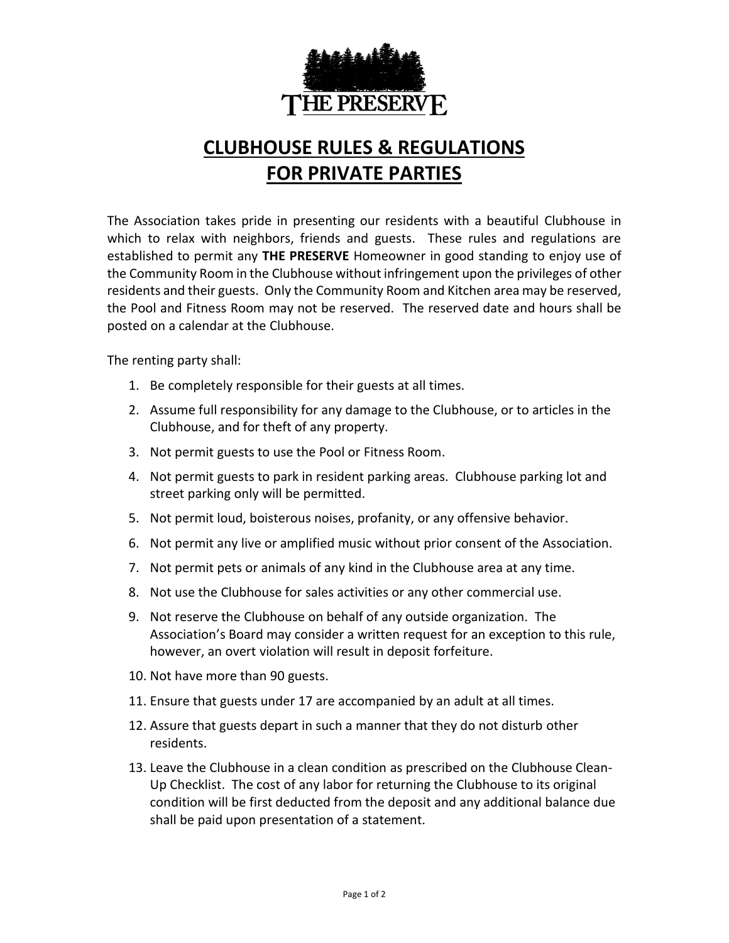

## **CLUBHOUSE RULES & REGULATIONS FOR PRIVATE PARTIES**

The Association takes pride in presenting our residents with a beautiful Clubhouse in which to relax with neighbors, friends and guests. These rules and regulations are established to permit any **THE PRESERVE** Homeowner in good standing to enjoy use of the Community Room in the Clubhouse without infringement upon the privileges of other residents and their guests. Only the Community Room and Kitchen area may be reserved, the Pool and Fitness Room may not be reserved. The reserved date and hours shall be posted on a calendar at the Clubhouse.

The renting party shall:

- 1. Be completely responsible for their guests at all times.
- 2. Assume full responsibility for any damage to the Clubhouse, or to articles in the Clubhouse, and for theft of any property.
- 3. Not permit guests to use the Pool or Fitness Room.
- 4. Not permit guests to park in resident parking areas. Clubhouse parking lot and street parking only will be permitted.
- 5. Not permit loud, boisterous noises, profanity, or any offensive behavior.
- 6. Not permit any live or amplified music without prior consent of the Association.
- 7. Not permit pets or animals of any kind in the Clubhouse area at any time.
- 8. Not use the Clubhouse for sales activities or any other commercial use.
- 9. Not reserve the Clubhouse on behalf of any outside organization. The Association's Board may consider a written request for an exception to this rule, however, an overt violation will result in deposit forfeiture.
- 10. Not have more than 90 guests.
- 11. Ensure that guests under 17 are accompanied by an adult at all times.
- 12. Assure that guests depart in such a manner that they do not disturb other residents.
- 13. Leave the Clubhouse in a clean condition as prescribed on the Clubhouse Clean-Up Checklist. The cost of any labor for returning the Clubhouse to its original condition will be first deducted from the deposit and any additional balance due shall be paid upon presentation of a statement.